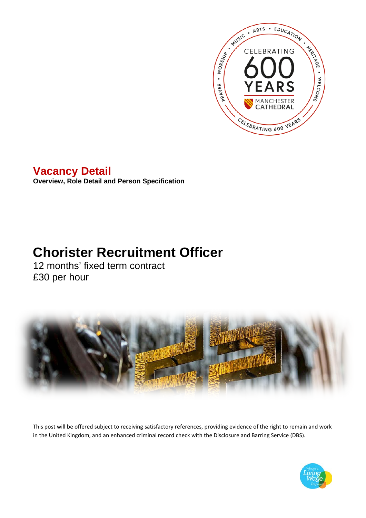

# **Vacancy Detail**

**Overview, Role Detail and Person Specification**

# **Chorister Recruitment Officer**

12 months' fixed term contract £30 per hour



This post will be offered subject to receiving satisfactory references, providing evidence of the right to remain and work in the United Kingdom, and an enhanced criminal record check with the Disclosure and Barring Service (DBS).

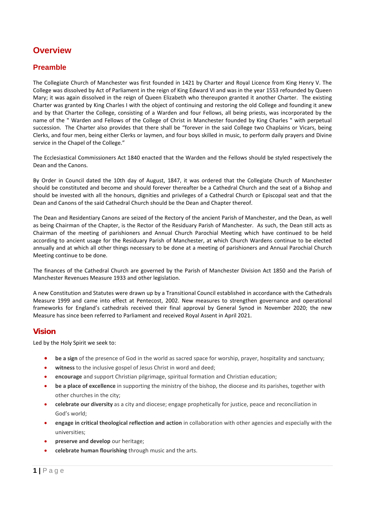## **Overview**

### **Preamble**

The Collegiate Church of Manchester was first founded in 1421 by Charter and Royal Licence from King Henry V. The College was dissolved by Act of Parliament in the reign of King Edward VI and was in the year 1553 refounded by Queen Mary; it was again dissolved in the reign of Queen Elizabeth who thereupon granted it another Charter. The existing Charter was granted by King Charles I with the object of continuing and restoring the old College and founding it anew and by that Charter the College, consisting of a Warden and four Fellows, all being priests, was incorporated by the name of the " Warden and Fellows of the College of Christ in Manchester founded by King Charles " with perpetual succession. The Charter also provides that there shall be "forever in the said College two Chaplains or Vicars, being Clerks, and four men, being either Clerks or laymen, and four boys skilled in music, to perform daily prayers and Divine service in the Chapel of the College."

The Ecclesiastical Commissioners Act 1840 enacted that the Warden and the Fellows should be styled respectively the Dean and the Canons.

By Order in Council dated the 10th day of August, 1847, it was ordered that the Collegiate Church of Manchester should be constituted and become and should forever thereafter be a Cathedral Church and the seat of a Bishop and should be invested with all the honours, dignities and privileges of a Cathedral Church or Episcopal seat and that the Dean and Canons of the said Cathedral Church should be the Dean and Chapter thereof.

The Dean and Residentiary Canons are seized of the Rectory of the ancient Parish of Manchester, and the Dean, as well as being Chairman of the Chapter, is the Rector of the Residuary Parish of Manchester. As such, the Dean still acts as Chairman of the meeting of parishioners and Annual Church Parochial Meeting which have continued to be held according to ancient usage for the Residuary Parish of Manchester, at which Church Wardens continue to be elected annually and at which all other things necessary to be done at a meeting of parishioners and Annual Parochial Church Meeting continue to be done.

The finances of the Cathedral Church are governed by the Parish of Manchester Division Act 1850 and the Parish of Manchester Revenues Measure 1933 and other legislation.

A new Constitution and Statutes were drawn up by a Transitional Council established in accordance with the Cathedrals Measure 1999 and came into effect at Pentecost, 2002. New measures to strengthen governance and operational frameworks for England's cathedrals received their final approval by General Synod in November 2020; the new Measure has since been referred to Parliament and received Royal Assent in April 2021.

#### **Vision**

Led by the Holy Spirit we seek to:

- **be a sign** of the presence of God in the world as sacred space for worship, prayer, hospitality and sanctuary;
- witness to the inclusive gospel of Jesus Christ in word and deed;
- **encourage** and support Christian pilgrimage, spiritual formation and Christian education;
- **be a place of excellence** in supporting the ministry of the bishop, the diocese and its parishes, together with other churches in the city;
- **celebrate our diversity** as a city and diocese; engage prophetically for justice, peace and reconciliation in God's world;
- **engage in critical theological reflection and action** in collaboration with other agencies and especially with the universities;
- **preserve and develop** our heritage;
- **celebrate human flourishing** through music and the arts.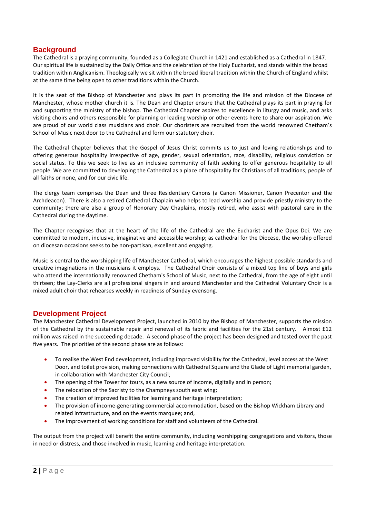## **Background**

The Cathedral is a praying community, founded as a Collegiate Church in 1421 and established as a Cathedral in 1847. Our spiritual life is sustained by the Daily Office and the celebration of the Holy Eucharist, and stands within the broad tradition within Anglicanism. Theologically we sit within the broad liberal tradition within the Church of England whilst at the same time being open to other traditions within the Church.

It is the seat of the Bishop of Manchester and plays its part in promoting the life and mission of the Diocese of Manchester, whose mother church it is. The Dean and Chapter ensure that the Cathedral plays its part in praying for and supporting the ministry of the bishop. The Cathedral Chapter aspires to excellence in liturgy and music, and asks visiting choirs and others responsible for planning or leading worship or other events here to share our aspiration. We are proud of our world class musicians and choir. Our choristers are recruited from the world renowned Chetham's School of Music next door to the Cathedral and form our statutory choir.

The Cathedral Chapter believes that the Gospel of Jesus Christ commits us to just and loving relationships and to offering generous hospitality irrespective of age, gender, sexual orientation, race, disability, religious conviction or social status. To this we seek to live as an inclusive community of faith seeking to offer generous hospitality to all people. We are committed to developing the Cathedral as a place of hospitality for Christians of all traditions, people of all faiths or none, and for our civic life.

The clergy team comprises the Dean and three Residentiary Canons (a Canon Missioner, Canon Precentor and the Archdeacon). There is also a retired Cathedral Chaplain who helps to lead worship and provide priestly ministry to the community; there are also a group of Honorary Day Chaplains, mostly retired, who assist with pastoral care in the Cathedral during the daytime.

The Chapter recognises that at the heart of the life of the Cathedral are the Eucharist and the Opus Dei. We are committed to modern, inclusive, imaginative and accessible worship; as cathedral for the Diocese, the worship offered on diocesan occasions seeks to be non-partisan, excellent and engaging.

Music is central to the worshipping life of Manchester Cathedral, which encourages the highest possible standards and creative imaginations in the musicians it employs. The Cathedral Choir consists of a mixed top line of boys and girls who attend the internationally renowned Chetham's School of Music, next to the Cathedral, from the age of eight until thirteen; the Lay-Clerks are all professional singers in and around Manchester and the Cathedral Voluntary Choir is a mixed adult choir that rehearses weekly in readiness of Sunday evensong.

#### **Development Project**

The Manchester Cathedral Development Project, launched in 2010 by the Bishop of Manchester, supports the mission of the Cathedral by the sustainable repair and renewal of its fabric and facilities for the 21st century. Almost £12 million was raised in the succeeding decade. A second phase of the project has been designed and tested over the past five years. The priorities of the second phase are as follows:

- To realise the West End development, including improved visibility for the Cathedral, level access at the West Door, and toilet provision, making connections with Cathedral Square and the Glade of Light memorial garden, in collaboration with Manchester City Council;
- The opening of the Tower for tours, as a new source of income, digitally and in person;
- The relocation of the Sacristy to the Champneys south east wing;
- The creation of improved facilities for learning and heritage interpretation;
- The provision of income-generating commercial accommodation, based on the Bishop Wickham Library and related infrastructure, and on the events marquee; and,
- The improvement of working conditions for staff and volunteers of the Cathedral.

The output from the project will benefit the entire community, including worshipping congregations and visitors, those in need or distress, and those involved in music, learning and heritage interpretation.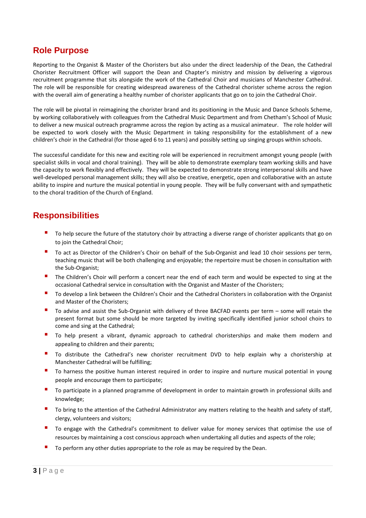## **Role Purpose**

Reporting to the Organist & Master of the Choristers but also under the direct leadership of the Dean, the Cathedral Chorister Recruitment Officer will support the Dean and Chapter's ministry and mission by delivering a vigorous recruitment programme that sits alongside the work of the Cathedral Choir and musicians of Manchester Cathedral. The role will be responsible for creating widespread awareness of the Cathedral chorister scheme across the region with the overall aim of generating a healthy number of chorister applicants that go on to join the Cathedral Choir.

The role will be pivotal in reimagining the chorister brand and its positioning in the Music and Dance Schools Scheme, by working collaboratively with colleagues from the Cathedral Music Department and from Chetham's School of Music to deliver a new musical outreach programme across the region by acting as a musical animateur. The role holder will be expected to work closely with the Music Department in taking responsibility for the establishment of a new children's choir in the Cathedral (for those aged 6 to 11 years) and possibly setting up singing groups within schools.

The successful candidate for this new and exciting role will be experienced in recruitment amongst young people (with specialist skills in vocal and choral training). They will be able to demonstrate exemplary team working skills and have the capacity to work flexibly and effectively. They will be expected to demonstrate strong interpersonal skills and have well-developed personal management skills; they will also be creative, energetic, open and collaborative with an astute ability to inspire and nurture the musical potential in young people. They will be fully conversant with and sympathetic to the choral tradition of the Church of England.

## **Responsibilities**

- To help secure the future of the statutory choir by attracting a diverse range of chorister applicants that go on to join the Cathedral Choir;
- To act as Director of the Children's Choir on behalf of the Sub-Organist and lead 10 choir sessions per term, teaching music that will be both challenging and enjoyable; the repertoire must be chosen in consultation with the Sub-Organist;
- The Children's Choir will perform a concert near the end of each term and would be expected to sing at the occasional Cathedral service in consultation with the Organist and Master of the Choristers;
- To develop a link between the Children's Choir and the Cathedral Choristers in collaboration with the Organist and Master of the Choristers;
- To advise and assist the Sub-Organist with delivery of three BACFAD events per term some will retain the present format but some should be more targeted by inviting specifically identified junior school choirs to come and sing at the Cathedral;
- To help present a vibrant, dynamic approach to cathedral choristerships and make them modern and appealing to children and their parents;
- **To distribute the Cathedral's new chorister recruitment DVD to help explain why a choristership at** Manchester Cathedral will be fulfilling;
- To harness the positive human interest required in order to inspire and nurture musical potential in young people and encourage them to participate;
- To participate in a planned programme of development in order to maintain growth in professional skills and knowledge;
- To bring to the attention of the Cathedral Administrator any matters relating to the health and safety of staff, clergy, volunteers and visitors;
- To engage with the Cathedral's commitment to deliver value for money services that optimise the use of resources by maintaining a cost conscious approach when undertaking all duties and aspects of the role;
- To perform any other duties appropriate to the role as may be required by the Dean.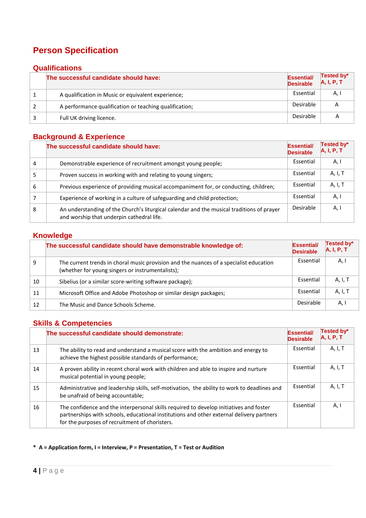## **Person Specification**

## **Qualifications**

| The successful candidate should have:                  | <b>Essential/</b><br><b>Desirable</b> | Tested by*<br>A, I, P, T |
|--------------------------------------------------------|---------------------------------------|--------------------------|
| A qualification in Music or equivalent experience;     | Essential                             | А,                       |
| A performance qualification or teaching qualification; | Desirable                             | A                        |
| Full UK driving licence.                               | Desirable                             |                          |

## **Background & Experience**

|   | The successful candidate should have:                                                                                                  | <b>Essential/</b><br><b>Desirable</b> | Tested by*<br>A, I, P, T |
|---|----------------------------------------------------------------------------------------------------------------------------------------|---------------------------------------|--------------------------|
| 4 | Demonstrable experience of recruitment amongst young people;                                                                           | Essential                             | A, I                     |
|   | Proven success in working with and relating to young singers;                                                                          | Essential                             | A, I, T                  |
| 6 | Previous experience of providing musical accompaniment for, or conducting, children;                                                   | Essential                             | A, I, T                  |
|   | Experience of working in a culture of safeguarding and child protection;                                                               | Essential                             | A, I                     |
| 8 | An understanding of the Church's liturgical calendar and the musical traditions of prayer<br>and worship that underpin cathedral life. | Desirable                             | A, I                     |

#### **Knowledge**

|    | The successful candidate should have demonstrable knowledge of:                                                                            | <b>Essential/</b><br><b>Desirable</b> | Tested by*<br>A, I, P, T |
|----|--------------------------------------------------------------------------------------------------------------------------------------------|---------------------------------------|--------------------------|
| 9  | The current trends in choral music provision and the nuances of a specialist education<br>(whether for young singers or instrumentalists); | Essential                             | A, I                     |
| 10 | Sibelius (or a similar score-writing software package);                                                                                    | Essential                             | A, I, T                  |
| 11 | Microsoft Office and Adobe Photoshop or similar design packages;                                                                           | Essential                             | A, I, T                  |
| 12 | The Music and Dance Schools Scheme.                                                                                                        | Desirable                             | А,                       |

## **Skills & Competencies**

|    | The successful candidate should demonstrate:                                                                                                                                                                                         | <b>Essential/</b><br><b>Desirable</b> | Tested by*<br>A, I, P, T |
|----|--------------------------------------------------------------------------------------------------------------------------------------------------------------------------------------------------------------------------------------|---------------------------------------|--------------------------|
| 13 | The ability to read and understand a musical score with the ambition and energy to<br>achieve the highest possible standards of performance;                                                                                         | Essential                             | A, I, T                  |
| 14 | A proven ability in recent choral work with children and able to inspire and nurture<br>musical potential in young people;                                                                                                           | Essential                             | A, I, T                  |
| 15 | Administrative and leadership skills, self-motivation, the ability to work to deadlines and<br>be unafraid of being accountable;                                                                                                     | Essential                             | A, I, T                  |
| 16 | The confidence and the interpersonal skills required to develop initiatives and foster<br>partnerships with schools, educational institutions and other external delivery partners<br>for the purposes of recruitment of choristers. | Essential                             | A, I                     |

#### **\* A = Application form, I = Interview, P = Presentation, T = Test or Audition**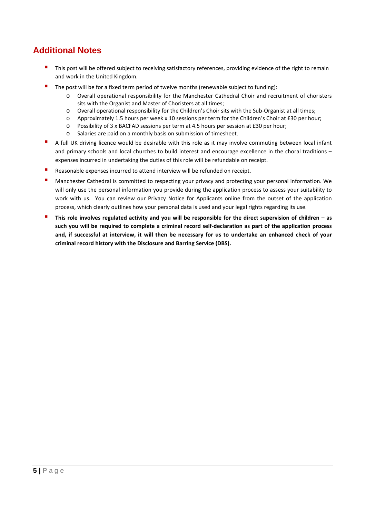## **Additional Notes**

- This post will be offered subject to receiving satisfactory references, providing evidence of the right to remain and work in the United Kingdom.
- The post will be for a fixed term period of twelve months (renewable subject to funding):
	- o Overall operational responsibility for the Manchester Cathedral Choir and recruitment of choristers sits with the Organist and Master of Choristers at all times;
	- o Overall operational responsibility for the Children's Choir sits with the Sub-Organist at all times;
	- o Approximately 1.5 hours per week x 10 sessions per term for the Children's Choir at £30 per hour;
	- o Possibility of 3 x BACFAD sessions per term at 4.5 hours per session at £30 per hour;
	- o Salaries are paid on a monthly basis on submission of timesheet.
- A full UK driving licence would be desirable with this role as it may involve commuting between local infant and primary schools and local churches to build interest and encourage excellence in the choral traditions – expenses incurred in undertaking the duties of this role will be refundable on receipt.
- Reasonable expenses incurred to attend interview will be refunded on receipt.
- Manchester Cathedral is committed to respecting your privacy and protecting your personal information. We will only use the personal information you provide during the application process to assess your suitability to work with us. You can review our Privacy Notice for Applicants online from the outset of the application process, which clearly outlines how your personal data is used and your legal rights regarding its use.
- **This role involves regulated activity and you will be responsible for the direct supervision of children – as such you will be required to complete a criminal record self-declaration as part of the application process and, if successful at interview, it will then be necessary for us to undertake an enhanced check of your criminal record history with the Disclosure and Barring Service (DBS).**